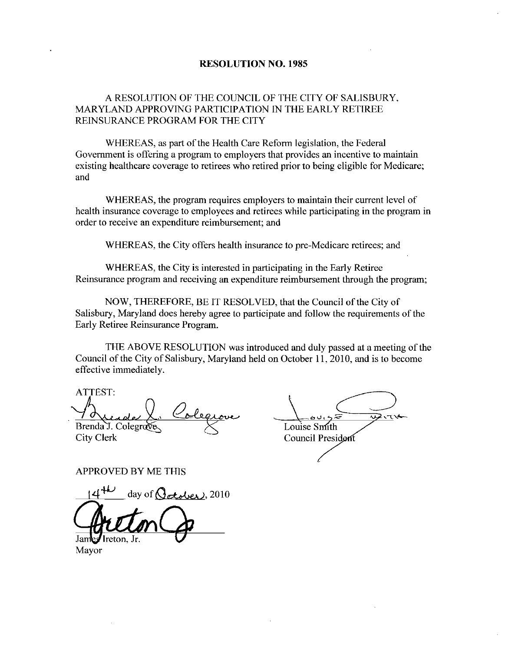### RESOLUTION NO. 1985

## A RESOLUTION OF THE COUNCIL OF THE CITY OF SALISBURY MARYLAND APPROVING PARTICIPATION IN THE EARLY RETIREE REINSURANCE PROGRAM FOR THE CITY

WHEREAS, as part of the Health Care Reform legislation, the Federal Government is offering a program to employers that provides an incentive to maintain existing healthcare coverage to retirees who retired prior to being eligible for Medicare and

WHEREAS, the program requires employers to maintain their current level of health insurance coverage to employees and retirees while participating in the program in order to receive an expenditure reimbursement; and

WHEREAS, the City offers health insurance to pre-Medicare retirees; and

WHEREAS, the City is interested in participating in the Early Retiree Reinsurance program and receiving an expenditure reimbursement through the program

NOW, THEREFORE, BE IT RESOLVED, that the Council of the City of Salisbury, Maryland does hereby agree to participate and follow the requirements of the Early Retiree Reinsurance Program

THE ABOVE RESOLUTION was introduced and duly passed at a meeting of the Council of the City of Salisbury, Maryland held on October 11, 2010, and is to become effective immediately

ATTEST

Brenda J. Colegrave.

City Clerk

Louise Smith Council President

APPROVED BY ME THIS

day of  $G$  otoles 2010

reton, Jr

Mayor